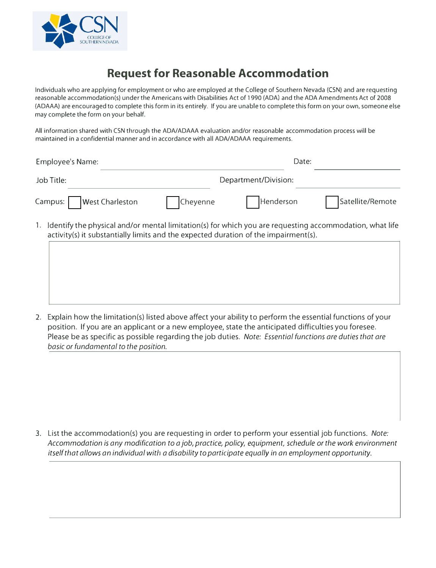

## **Request for Reasonable Accommodation**

Individuals who are applying for employment or who are employed at the College of Southern Nevada (CSN) and are requesting reasonable accommodation(s) under the Americans with Disabilities Act of 1990 (ADA) and the ADA Amendments Act of 2008 (ADAAA) are encouraged to complete this form In its entirely. If you are unable to complete this form on your own, someone else may complete the form on your behalf.

All information shared with CSN through the ADA/ADAAA evaluation and/or reasonable accommodation process will be maintained in a confidential manner and in accordance with all ADA/ADAAA requirements.

| Employee's Name:                                                                                         | Date:                |           |                  |
|----------------------------------------------------------------------------------------------------------|----------------------|-----------|------------------|
| Job Title:                                                                                               | Department/Division: |           |                  |
| Campus:     West Charleston                                                                              | Cheyenne             | Henderson | Satellite/Remote |
| 1 Identify the physical and/or mental limitation(s) for which you are requesting accommodation what life |                      |           |                  |

1. Identify the physical and/or mental limitation(s) for which you are requesting accommodation, what life activity(s) it substantially limits and the expected duration of the impairment(s).

2. Explain how the limitation(s) listed above affect your ability to perform the essential functions of your position. If you are an applicant or a new employee, state the anticipated difficulties you foresee. Please be as specific as possible regarding the job duties. *Note: Essential functions are duties that are basic or fundamental to the position.*

3. List the accommodation(s) you are requesting in order to perform your essential job functions. *Note: Accommodation is any modification to a job, practice, policy, equipment, schedule or the work environment itself that allows an individual with a disability to participate equally in an employment opportunity.*